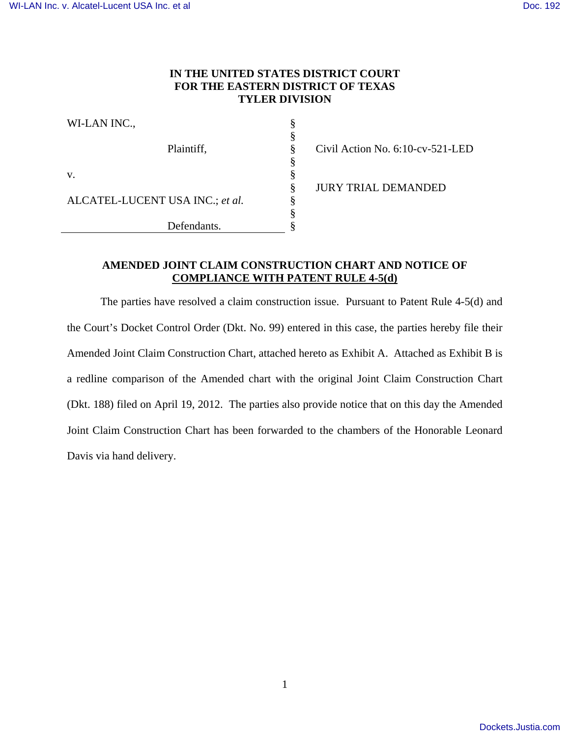### **IN THE UNITED STATES DISTRICT COURT FOR THE EASTERN DISTRICT OF TEXAS TYLER DIVISION**

§ § § § § § § § §

| WI-LAN INC.,                    |
|---------------------------------|
| Plaintiff,                      |
| V.                              |
| ALCATEL-LUCENT USA INC.; et al. |
| Defendants.                     |

Civil Action No. 6:10-cv-521-LED

JURY TRIAL DEMANDED

## **AMENDED JOINT CLAIM CONSTRUCTION CHART AND NOTICE OF COMPLIANCE WITH PATENT RULE 4-5(d)**

The parties have resolved a claim construction issue. Pursuant to Patent Rule 4-5(d) and the Court's Docket Control Order (Dkt. No. 99) entered in this case, the parties hereby file their Amended Joint Claim Construction Chart, attached hereto as Exhibit A. Attached as Exhibit B is a redline comparison of the Amended chart with the original Joint Claim Construction Chart (Dkt. 188) filed on April 19, 2012. The parties also provide notice that on this day the Amended Joint Claim Construction Chart has been forwarded to the chambers of the Honorable Leonard Davis via hand delivery.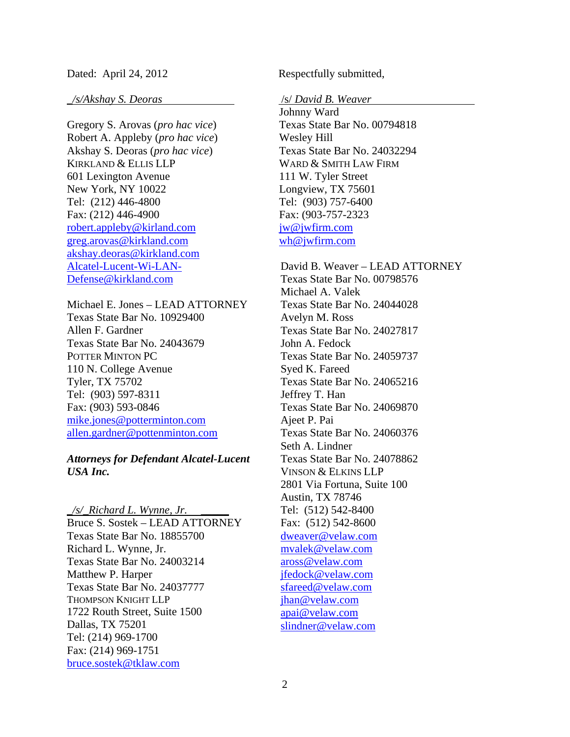### Dated: April 24, 2012

#### *\_/s/Akshay S. Deoras*

Gregory S. Arovas (*pro hac vice*) Robert A. Appleby (*pro hac vice*) Akshay S. Deoras (*pro hac vice*) KIRKLAND & ELLIS LLP 601 Lexington Avenue New York, NY 10022 Tel: (212) 446-4800 Fax: (212) 446-4900 robert.appleby@kirland.com greg.arovas@kirkland.com akshay.deoras@kirkland.com Alcatel-Lucent-Wi-LAN-Defense@kirkland.com

Michael E. Jones – LEAD ATTORNEY Texas State Bar No. 10929400 Allen F. Gardner Texas State Bar No. 24043679 POTTER MINTON PC 110 N. College Avenue Tyler, TX 75702 Tel: (903) 597-8311 Fax: (903) 593-0846 mike.jones@potterminton.com allen.gardner@pottenminton.com

### *Attorneys for Defendant Alcatel-Lucent USA Inc.*

*\_/s/\_Richard L. Wynne, Jr. \_\_\_\_\_* Bruce S. Sostek – LEAD ATTORNEY Texas State Bar No. 18855700 Richard L. Wynne, Jr. Texas State Bar No. 24003214 Matthew P. Harper Texas State Bar No. 24037777 THOMPSON KNIGHT LLP 1722 Routh Street, Suite 1500 Dallas, TX 75201 Tel: (214) 969-1700 Fax: (214) 969-1751 bruce.sostek@tklaw.com

Respectfully submitted,

#### /s/ *David B. Weaver*

Johnny Ward Texas State Bar No. 00794818 Wesley Hill Texas State Bar No. 24032294 WARD & SMITH LAW FIRM 111 W. Tyler Street Longview, TX 75601 Tel: (903) 757-6400 Fax: (903-757-2323 jw@jwfirm.com wh@jwfirm.com

David B. Weaver – LEAD ATTORNEY Texas State Bar No. 00798576 Michael A. Valek Texas State Bar No. 24044028 Avelyn M. Ross Texas State Bar No. 24027817 John A. Fedock Texas State Bar No. 24059737 Syed K. Fareed Texas State Bar No. 24065216 Jeffrey T. Han Texas State Bar No. 24069870 Ajeet P. Pai Texas State Bar No. 24060376 Seth A. Lindner Texas State Bar No. 24078862 VINSON & ELKINS LLP 2801 Via Fortuna, Suite 100 Austin, TX 78746 Tel: (512) 542-8400 Fax: (512) 542-8600 dweaver@velaw.com mvalek@velaw.com aross@velaw.com jfedock@velaw.com sfareed@velaw.com jhan@velaw.com apai@velaw.com slindner@velaw.com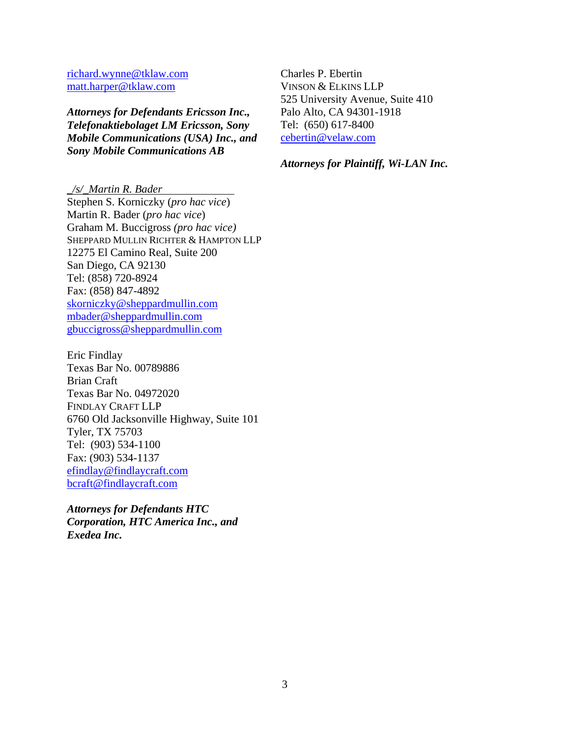richard.wynne@tklaw.com matt.harper@tklaw.com

*Attorneys for Defendants Ericsson Inc., Telefonaktiebolaget LM Ericsson, Sony Mobile Communications (USA) Inc., and Sony Mobile Communications AB* 

Charles P. Ebertin VINSON & ELKINS LLP 525 University Avenue, Suite 410 Palo Alto, CA 94301-1918 Tel: (650) 617-8400 cebertin@velaw.com

*Attorneys for Plaintiff, Wi-LAN Inc.* 

*\_/s/\_Martin R. Bader* 

Stephen S. Korniczky (*pro hac vice*) Martin R. Bader (*pro hac vice*) Graham M. Buccigross *(pro hac vice)* SHEPPARD MULLIN RICHTER & HAMPTON LLP 12275 El Camino Real, Suite 200 San Diego, CA 92130 Tel: (858) 720-8924 Fax: (858) 847-4892 skorniczky@sheppardmullin.com mbader@sheppardmullin.com gbuccigross@sheppardmullin.com

Eric Findlay Texas Bar No. 00789886 Brian Craft Texas Bar No. 04972020 FINDLAY CRAFT LLP 6760 Old Jacksonville Highway, Suite 101 Tyler, TX 75703 Tel: (903) 534-1100 Fax: (903) 534-1137 efindlay@findlaycraft.com bcraft@findlaycraft.com

*Attorneys for Defendants HTC Corporation, HTC America Inc., and Exedea Inc.*